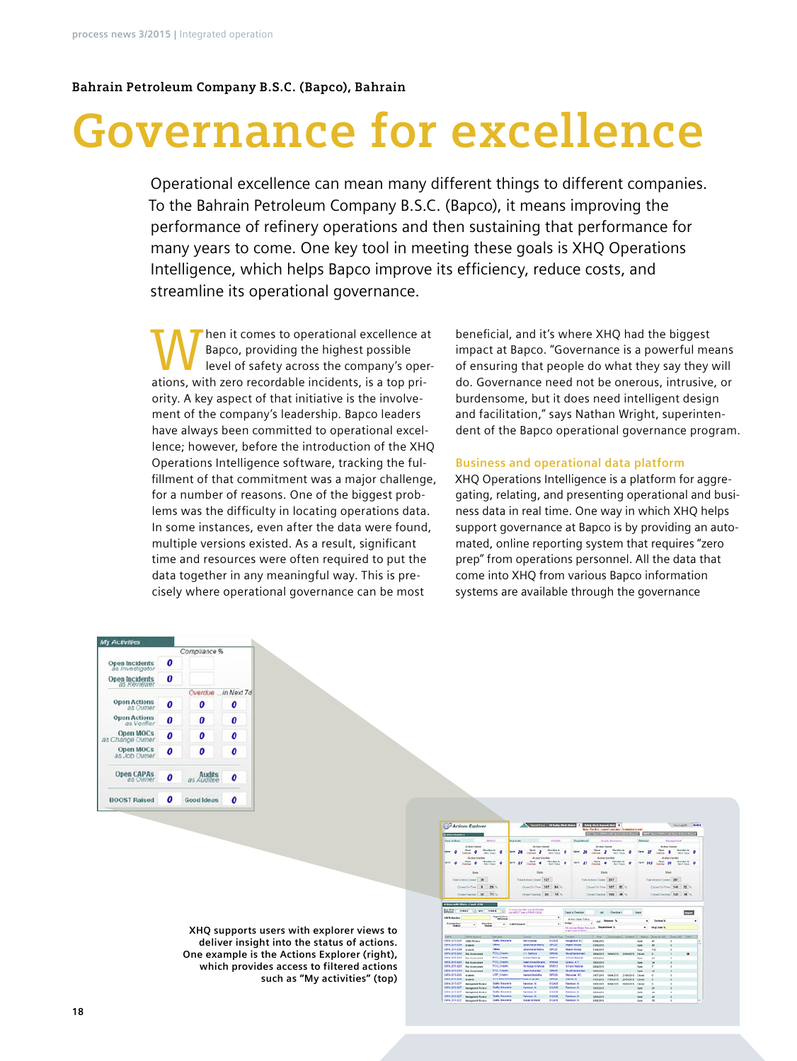### **Bahrain Petroleum Company B.S.C. (Bapco), Bahrain**

# **Governance for excellence**

Operational excellence can mean many different things to different companies. To the Bahrain Petroleum Company B.S.C. (Bapco), it means improving the performance of refinery operations and then sustaining that performance for many years to come. One key tool in meeting these goals is XHQ Operations Intelligence, which helps Bapco improve its efficiency, reduce costs, and streamline its operational governance.

When it comes to operational excellence at<br>
level of safety across the company's oper-<br>
ations with associated incidents is a top pri-Bapco, providing the highest possible ations, with zero recordable incidents, is a top priority. A key aspect of that initiative is the involvement of the company's leadership. Bapco leaders have always been committed to operational excellence; however, before the introduction of the XHQ Operations Intelligence software, tracking the fulfillment of that commitment was a major challenge, for a number of reasons. One of the biggest problems was the difficulty in locating operations data. In some instances, even after the data were found, multiple versions existed. As a result, significant time and resources were often required to put the data together in any meaningful way. This is precisely where operational governance can be most

beneficial, and it's where XHQ had the biggest impact at Bapco. "Governance is a powerful means of ensuring that people do what they say they will do. Governance need not be onerous, intrusive, or burdensome, but it does need intelligent design and facilitation," says Nathan Wright, superintendent of the Bapco operational governance program.

#### **Business and operational data platform**

XHQ Operations Intelligence is a platform for aggregating, relating, and presenting operational and business data in real time. One way in which XHQ helps support governance at Bapco is by providing an automated, online reporting system that requires "zero prep" from operations personnel. All the data that come into XHQ from various Bapco information systems are available through the governance

|                                          |   | Compliance %                |   |
|------------------------------------------|---|-----------------------------|---|
| <b>Open Incidents</b><br>as investigator | 0 |                             |   |
| <b>Open Incidents</b><br>as Reviewer     | 0 |                             |   |
|                                          |   | Overdue in Next 7d          |   |
| <b>Open Actions</b><br>as Owner          | 0 | 0                           | 0 |
| <b>Open Actions</b><br>as Verifier       | 0 | 0                           | 0 |
| Open MOCs<br>as Change Owner             | 0 | 0                           | 0 |
| <b>Open MOCs</b><br>as Job Owner         | 0 | 0                           | 0 |
| <b>Open CAPAs</b><br>as Owner            | 0 | <b>Audits</b><br>as Auditee | 0 |
| <b>BOOST Raised</b>                      | 0 | <b>Good Ideas</b>           | Ω |

**XHQ supports users with explorer views to deliver insight into the status of actions. One example is the Actions Explorer (right), which provides access to filtered actions such as "My activities" (top)**

|                                                                                                                                                                                                                                                                   | Actions Explorer                                      |                                         | <b>CONTRACTOR</b>                                                       |                          | <b>GELAN WAS IRVESTED TO AN WAS FOUND AND A</b> | Note: The R.L., capacity are take in Constraints to must |                                          |            |                                             |                                                     | <b>TRATIQUE</b>                         |                         | 95,652.6 |
|-------------------------------------------------------------------------------------------------------------------------------------------------------------------------------------------------------------------------------------------------------------------|-------------------------------------------------------|-----------------------------------------|-------------------------------------------------------------------------|--------------------------|-------------------------------------------------|----------------------------------------------------------|------------------------------------------|------------|---------------------------------------------|-----------------------------------------------------|-----------------------------------------|-------------------------|----------|
| <b>In tree Analysis</b>                                                                                                                                                                                                                                           |                                                       |                                         |                                                                         |                          |                                                 | <b>CONTRACTOR</b> STANDARD TO ANY                        |                                          |            |                                             | <b>SAFE Figure CAPES and Special Control Report</b> |                                         |                         |          |
| <b>Year Actions</b>                                                                                                                                                                                                                                               |                                                       | <b>MAT/A</b>                            | <b>Vicini</b>                                                           | PASAR                    | <b>Distantinent</b>                             |                                                          | <b>Sunits Asturance</b>                  |            | <b>Filippine</b>                            |                                                     | <b>Management</b>                       |                         |          |
|                                                                                                                                                                                                                                                                   | Artist Donor                                          |                                         | Ardon Damar                                                             |                          |                                                 | Ar Iron Domer                                            |                                          |            |                                             |                                                     | Actua Camar                             |                         |          |
| $\sim$                                                                                                                                                                                                                                                            | <b>Dealers</b> in<br><b>Clevel</b>                    | -<br><b>back Turaca</b>                 | 26<br><b>COLLECTION</b>                                                 | <b><i>Deardox</i></b> in | <b>Great</b><br>м                               | <b>Clean</b>                                             | <b><i>Designation</i></b><br>hard forces |            | <b>Great</b><br>$\overline{\boldsymbol{v}}$ | <b>College</b>                                      | <b>Counties</b> in                      | <b>Benefit Treasure</b> |          |
|                                                                                                                                                                                                                                                                   |                                                       |                                         |                                                                         | <b>Band Torgin</b>       |                                                 | <b>SALES</b>                                             |                                          |            |                                             |                                                     |                                         |                         |          |
|                                                                                                                                                                                                                                                                   | Artist Veriller<br><b>Great</b>                       | <b>Distribution</b>                     | Actual Vanillan<br>Open                                                 | <b>Chairdon IX</b>       |                                                 | Action Variation<br>Case                                 | <b>Chandes</b> in                        |            |                                             | Open                                                | Ardner Vardier<br><b>Dear after the</b> |                         |          |
| $\sim$<br>я                                                                                                                                                                                                                                                       |                                                       | <b>STAR</b><br>ø<br><b>Rend Toronto</b> | $\overline{r}$<br>Country                                               | <b>Said Talent</b>       | <b>Great</b><br>27                              |                                                          | <b>Saudi Silaya</b>                      | ۰          | fere<br>187                                 |                                                     | ø                                       | ٠<br><b>Rend Store</b>  |          |
|                                                                                                                                                                                                                                                                   |                                                       |                                         |                                                                         |                          |                                                 |                                                          |                                          |            |                                             |                                                     |                                         |                         |          |
|                                                                                                                                                                                                                                                                   | <b>Alarm</b>                                          |                                         | Eleft                                                                   |                          |                                                 | <b>Study</b>                                             |                                          |            |                                             |                                                     | <b>Stuff</b>                            |                         |          |
|                                                                                                                                                                                                                                                                   | Total Actors Closed 1981                              |                                         | Total Actors Citizen 1927                                               |                          |                                                 | Total Actions Closed 207                                 |                                          |            |                                             | Total Actions Closed 1: 287                         |                                         |                         |          |
|                                                                                                                                                                                                                                                                   |                                                       |                                         |                                                                         |                          |                                                 |                                                          |                                          |            |                                             |                                                     |                                         |                         |          |
|                                                                                                                                                                                                                                                                   | Closed On Fisher<br>٠                                 | 39.5                                    | Circuit Co. Tone 1, 187                                                 | 84 %                     |                                                 | Closed On Faire                                          | 587<br>52                                |            |                                             | Closed Co. Time 1148                                |                                         | $-82.4$                 |          |
|                                                                                                                                                                                                                                                                   | Clinar/Crestine 20                                    | Pt N                                    | ClimitDecke 20                                                          | $-196.76$                |                                                 | Cined Checke 100                                         |                                          | <b>ABC</b> |                                             | Cinesi Centile 1939                                 |                                         | $-40.7$                 |          |
|                                                                                                                                                                                                                                                                   |                                                       |                                         |                                                                         |                          |                                                 |                                                          |                                          |            |                                             |                                                     |                                         |                         |          |
|                                                                                                                                                                                                                                                                   | Action with Filters Court 4300                        |                                         |                                                                         |                          |                                                 |                                                          |                                          |            |                                             |                                                     |                                         |                         |          |
| <b>Boutin</b>                                                                                                                                                                                                                                                     | <b>PERRNT</b><br>wit                                  | 114414                                  | Fusing Oil filter and Northern<br>president in supervision of a call of |                          | Days to Country                                 | <b>Call</b>                                              | Consider v.                              |            | days.                                       |                                                     |                                         | <b>Royal</b>            |          |
| <b>CAPA Building</b>                                                                                                                                                                                                                                              |                                                       | örgentrafn<br><b>Affacted</b>           |                                                                         | ٠                        | <b>Arles Owner Fillers</b>                      |                                                          |                                          |            |                                             |                                                     |                                         |                         |          |
| Europhillon                                                                                                                                                                                                                                                       | مقامعا                                                | ٠                                       |                                                                         | ٠                        | Ballyn                                          |                                                          |                                          |            | ٠                                           | <b>Lesting W</b>                                    |                                         |                         | ٠        |
| <b>Hallan</b>                                                                                                                                                                                                                                                     | ×.<br>--                                              |                                         | <b>CAPA Source</b>                                                      |                          | In or on home Polygon 1, Department to          |                                                          |                                          |            | ٠                                           | <b>Bratists</b>                                     |                                         |                         |          |
|                                                                                                                                                                                                                                                                   |                                                       |                                         |                                                                         |                          | <b>Nummer a Four</b>                            |                                                          |                                          |            |                                             |                                                     |                                         |                         |          |
|                                                                                                                                                                                                                                                                   | CAPA Singha                                           | <b>Horner</b>                           | <b>Colorado</b>                                                         | <b>Denver Dra</b>        | <b>Van Aus</b>                                  | <b>Disk</b>                                              |                                          | Verified   | Status                                      | Date to US                                          | Dars DO                                 | <b>SOLD</b>             |          |
|                                                                                                                                                                                                                                                                   | <b>CEME Parameter</b>                                 | <b>Guide description</b>                | <b><i>SEATTLE BUILDER</i></b>                                           | <b>STORY</b>             | <b>Hollandon M.C.</b>                           | <b>INVESTING</b>                                         |                                          |            | Outside                                     | $\overline{a}$                                      | ×                                       |                         | ٠        |
|                                                                                                                                                                                                                                                                   | <b>Bridgetts</b>                                      | Littleway                               | James dramat Marris                                                     | 49-26                    | <b>Integrated Advised at</b>                    | <b>MANUFACT</b>                                          |                                          |            | <b>Clear</b>                                | ٠                                                   | ٠                                       |                         | ۰        |
|                                                                                                                                                                                                                                                                   | <b>Sculpture</b>                                      | Listen                                  | Jane thangs Marry                                                       | EPUX                     | <b>Museum Adulture</b>                          | 14 64 03 9 9                                             |                                          |            | Guid                                        | <b>KKO</b>                                          | ٠                                       |                         |          |
|                                                                                                                                                                                                                                                                   | <b>Rio Antenimerii</b>                                | <b>FOOL Concert</b>                     | 21 Server                                                               | <b>Gerald</b>            | <b>Municipal Executions</b>                     | TROUGHS ! THOUGHS                                        |                                          | 2004023    | Christi                                     | ×                                                   |                                         | ۰                       |          |
|                                                                                                                                                                                                                                                                   | <b>But Automotive II</b>                              | <b>POST CONNE</b>                       | A Family and                                                            | <b>A Suit And</b>        | <b>AFAMINAME</b>                                | 14,64,516.9                                              |                                          |            | Closen,                                     | ×                                                   |                                         |                         |          |
|                                                                                                                                                                                                                                                                   | <b>Fox Association</b>                                | <b>Púlis Simpas</b>                     | Said Annee to any                                                       | gradual                  | Linean A.V.                                     | <b>HANDAR</b>                                            |                                          |            | Court.                                      | ×                                                   | ï                                       |                         |          |
|                                                                                                                                                                                                                                                                   | <b>Ros Accessored</b>                                 | <b>PODS Excellent</b>                   | <b>BE FORMS &amp; Palman</b>                                            | <b>CARLS</b>             | A Farm Holland                                  | 2604091                                                  |                                          |            | Open                                        |                                                     | ï                                       |                         |          |
|                                                                                                                                                                                                                                                                   | CATA (015-230) But Assessment                         | POTA THREE                              | <b>John Middleton</b>                                                   | EXVICE                   | <b>Model Technology</b>                         | <b>Materials</b>                                         |                                          |            | <b>Count</b>                                | $\lambda$                                           |                                         |                         |          |
|                                                                                                                                                                                                                                                                   | <b>Building</b>                                       | LISP Earphire                           | <b>Instead Bulletin</b>                                                 | EMER<br><b>DIRECT</b>    | <b>Mahandar B.C.</b>                            | <b>Individual</b>                                        | <b>Hide Strik</b>                        | 24mlnrd    | Chrysler                                    | ٠                                                   | ï                                       |                         |          |
|                                                                                                                                                                                                                                                                   | <b>Building</b>                                       | <b>Daily Assesses</b>                   | 3 E 4 SRA/TCR/INVASOR/25 as ALacaki<br><b>Fascase N</b>                 | <b>BIGAN</b>             | <b>Kahara N</b><br><b>Excessor</b> IX           | 34,05,004                                                | <b>ITALIANE</b>                          | 20640018   | Opini                                       |                                                     | ٠                                       |                         |          |
|                                                                                                                                                                                                                                                                   | <b>Management Review</b>                              | <b>Built Assistant</b>                  | <b>Parklinewick</b>                                                     | <b>PIGAM</b>             | <b>Parlament</b> , N                            | <b>HERITAR</b>                                           | 1644015                                  | stdellers  | Opract                                      | ٠                                                   | ï<br>ï                                  |                         |          |
|                                                                                                                                                                                                                                                                   | Wangmed Review                                        | <b>Gody Assesses</b>                    | Fatewar, N                                                              | <b><i>ESCARE</i></b>     | <b>Fatewood</b> N                               | HANDON<br>1006209                                        |                                          |            | Guert.<br><b>Close</b>                      | ×<br>$\overline{\phantom{a}}$                       | ×                                       |                         |          |
| <b>CAPA</b><br>(are provided<br>CAFA 2015-2344<br>CAFA 2015-2:54<br>CAPA JEYS 4007<br>CAFA JOIN AVE<br>CAFA JETERINE<br>CAFE, 2015 2243<br>0494-0015-0062<br><b>CAFA, 2015 AT48</b><br>Cala Stillatof<br><b>CAFA 2016-8287</b><br>Calls, Strivall of<br>044305428 | <b>Management Rousses</b><br><b>Management Favore</b> | <b>Santa Armanoid</b>                   | <b>Tarianus</b> in                                                      | <b>Bullet</b>            | <b>Recognized</b> No.                           | <b>15060PS</b>                                           |                                          |            | <b>Great</b>                                | $\overline{\phantom{a}}$                            | ٠                                       |                         |          |